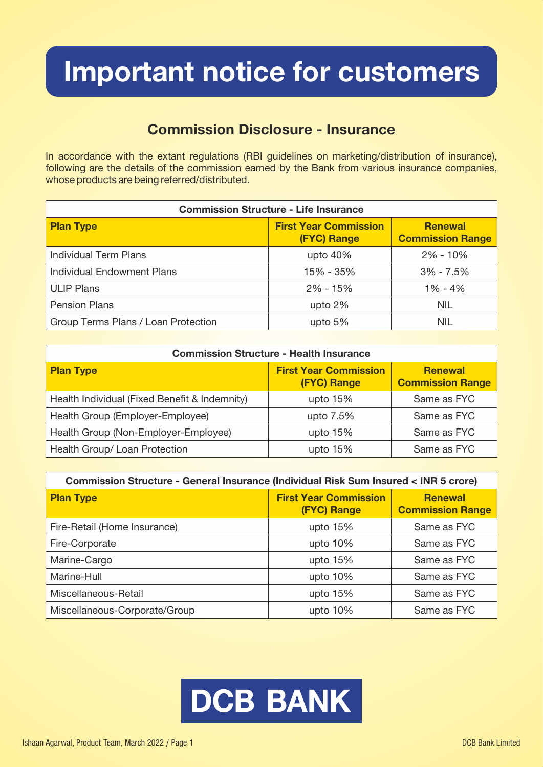## Important notice for customers

### Commission Disclosure - Insurance

In accordance with the extant regulations (RBI guidelines on marketing/distribution of insurance), following are the details of the commission earned by the Bank from various insurance companies, whose products are being referred/distributed.

| <b>Commission Structure - Life Insurance</b> |                                             |                                           |  |
|----------------------------------------------|---------------------------------------------|-------------------------------------------|--|
| <b>Plan Type</b>                             | <b>First Year Commission</b><br>(FYC) Range | <b>Renewal</b><br><b>Commission Range</b> |  |
| <b>Individual Term Plans</b>                 | upto $40%$                                  | $2\% - 10\%$                              |  |
| <b>Individual Endowment Plans</b>            | 15% - 35%                                   | $3\% - 7.5\%$                             |  |
| <b>ULIP Plans</b>                            | $2\% - 15\%$                                | $1\% - 4\%$                               |  |
| <b>Pension Plans</b>                         | upto 2%                                     | <b>NIL</b>                                |  |
| Group Terms Plans / Loan Protection          | upto $5%$                                   | <b>NIL</b>                                |  |

| <b>Commission Structure - Health Insurance</b> |                                                    |                                           |  |
|------------------------------------------------|----------------------------------------------------|-------------------------------------------|--|
| <b>Plan Type</b>                               | <b>First Year Commission</b><br><b>(FYC) Range</b> | <b>Renewal</b><br><b>Commission Range</b> |  |
| Health Individual (Fixed Benefit & Indemnity)  | upto $15%$                                         | Same as FYC                               |  |
| Health Group (Employer-Employee)               | upto 7.5%                                          | Same as FYC                               |  |
| Health Group (Non-Employer-Employee)           | upto $15%$                                         | Same as FYC                               |  |
| Health Group/ Loan Protection                  | upto $15%$                                         | Same as FYC                               |  |

| Commission Structure - General Insurance (Individual Risk Sum Insured < INR 5 crore) |                                                    |                                           |  |
|--------------------------------------------------------------------------------------|----------------------------------------------------|-------------------------------------------|--|
| <b>Plan Type</b>                                                                     | <b>First Year Commission</b><br><b>(FYC) Range</b> | <b>Renewal</b><br><b>Commission Range</b> |  |
| Fire-Retail (Home Insurance)                                                         | upto 15%                                           | Same as FYC                               |  |
| Fire-Corporate                                                                       | upto $10\%$                                        | Same as FYC                               |  |
| Marine-Cargo                                                                         | upto $15%$                                         | Same as FYC                               |  |
| Marine-Hull                                                                          | upto $10%$                                         | Same as FYC                               |  |
| Miscellaneous-Retail                                                                 | upto $15%$                                         | Same as FYC                               |  |
| Miscellaneous-Corporate/Group                                                        | upto $10%$                                         | Same as FYC                               |  |